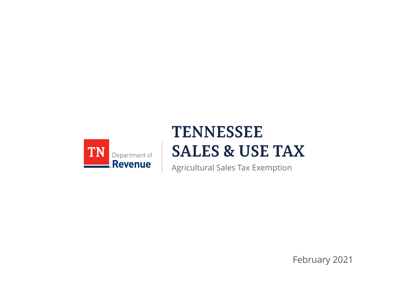

## **TENNESSEE SALES & USE TAX**

Agricultural Sales Tax Exemption

February 2021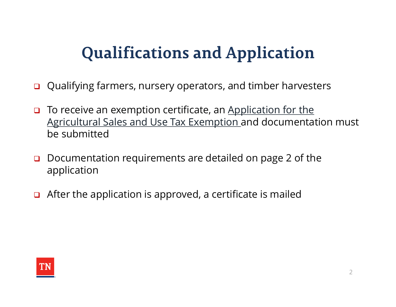# **Qualifications and Application**

- Qualifying farmers, nursery operators, and timber harvesters
- □ To receive an exemption certificate, an Application for the Agricultural Sales and Use Tax Exemption and documentation must be submitted
- □ Documentation requirements are detailed on page 2 of the application
- $\Box$  After the application is approved, a certificate is mailed

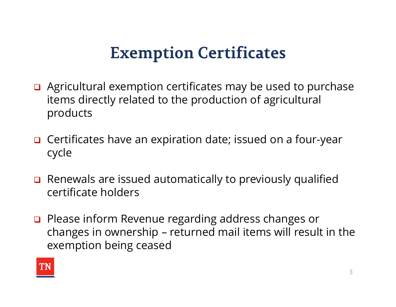#### **Exemption Certificates**

- $\Box$  Agricultural exemption certificates may be used to purchase items directly related to the production of agricultural products
- □ Certificates have an expiration date; issued on a four-year cycle
- Renewals are issued automatically to previously qualified certificate holders
- □ Please inform Revenue regarding address changes or products<br>Certificates have an expiration date; issued on a four-year<br>cycle<br>Renewals are issued automatically to previously qualified<br>certificate holders<br>Please inform Revenue regarding address changes or<br>changes in ownersh exemption being ceased

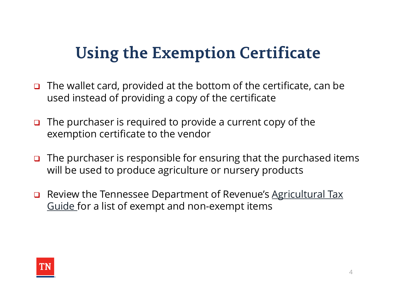## **Using the Exemption Certificate**

- $\Box$  The wallet card, provided at the bottom of the certificate, can be used instead of providing a copy of the certificate
- $\Box$  The purchaser is required to provide a current copy of the exemption certificate to the vendor
- $\Box$  The purchaser is responsible for ensuring that the purchased items will be used to produce agriculture or nursery products
- □ Review the Tennessee Department of Revenue's Agricultural Tax Guide for a list of exempt and non-exempt items

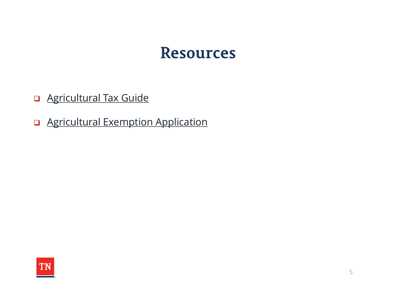#### **Resources**

- **Q** Agricultural Tax Guide
- **Q** Agricultural Exemption Application